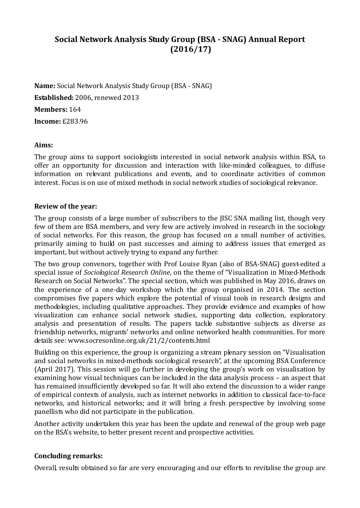# **Social Network Analysis Study Group (BSA ‐ SNAG) Annual Report (2016/17)**

**Name:** Social Network Analysis Study Group (BSA - SNAG)

**Established:** 2006, renewed 2013

**Members:** 164 

**Income:** £283.96 

## **Aims:**

The group aims to support sociologists interested in social network analysis within BSA, to offer an opportunity for discussion and interaction with like-minded colleagues, to diffuse information on relevant publications and events, and to coordinate activities of common interest. Focus is on use of mixed methods in social network studies of sociological relevance.

### **Review of the year:**

The group consists of a large number of subscribers to the JISC SNA mailing list, though very few of them are BSA members, and very few are actively involved in research in the sociology of social networks. For this reason, the group has focused on a small number of activities, primarily aiming to build on past successes and aiming to address issues that emerged as important, but without actively trying to expand any further.

The two group convenors, together with Prof Louise Ryan (also of BSA-SNAG) guest-edited a special issue of *Sociological Research Online*, on the theme of "Visualization in Mixed-Methods Research on Social Networks". The special section, which was published in May 2016, draws on the experience of a one-day workshop which the group organised in 2014. The section compromises five papers which explore the potential of visual tools in research designs and methodologies, including qualitative approaches. They provide evidence and examples of how visualization can enhance social network studies, supporting data collection, exploratory analysis and presentation of results. The papers tackle substantive subjects as diverse as friendship networks, migrants' networks and online networked health communities. For more details see: www.socresonline.org.uk/21/2/contents.html

Building on this experience, the group is organizing a stream plenary session on "Visualisation" and social networks in mixed-methods sociological research", at the upcoming BSA Conference (April 2017). This session will go further in developing the group's work on visualisation by examining how visual techniques can be included in the data analysis process – an aspect that has remained insufficiently developed so far. It will also extend the discussion to a wider range of empirical contexts of analysis, such as internet networks in addition to classical face-to-face networks, and historical networks; and it will bring a fresh perspective by involving some panellists who did not participate in the publication.

Another activity undertaken this year has been the update and renewal of the group web page on the BSA's website, to better present recent and prospective activities.

## **Concluding remarks:**

Overall, results obtained so far are very encouraging and our efforts to revitalise the group are